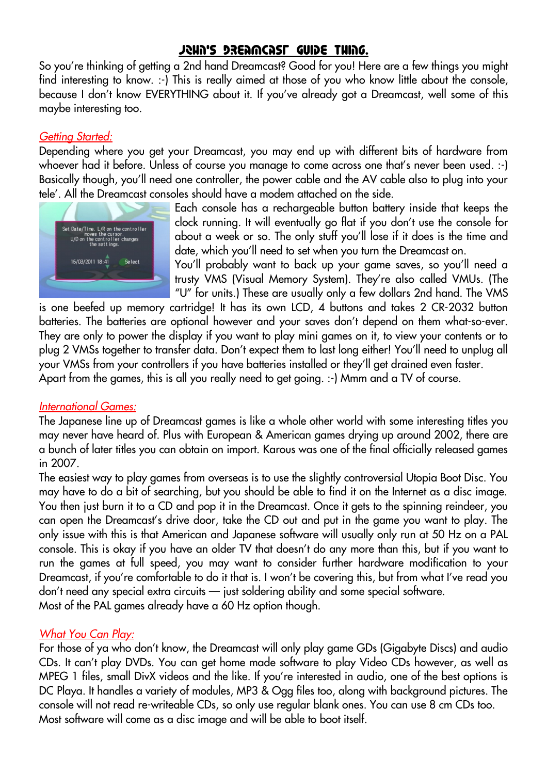# John's Dreamcast Guide Thing.

So you're thinking of getting a 2nd hand Dreamcast? Good for you! Here are a few things you might find interesting to know. :-) This is really aimed at those of you who know little about the console, because I don't know EVERYTHING about it. If you've already got a Dreamcast, well some of this maybe interesting too.

## *Getting Started:*

Depending where you get your Dreamcast, you may end up with different bits of hardware from whoever had it before. Unless of course you manage to come across one that's never been used. :-) Basically though, you'll need one controller, the power cable and the AV cable also to plug into your tele'. All the Dreamcast consoles should have a modem attached on the side.



Each console has a rechargeable button battery inside that keeps the clock running. It will eventually go flat if you don't use the console for about a week or so. The only stuff you'll lose if it does is the time and date, which you'll need to set when you turn the Dreamcast on.

You'll probably want to back up your game saves, so you'll need a trusty VMS (Visual Memory System). They're also called VMUs. (The "U" for units.) These are usually only a few dollars 2nd hand. The VMS

is one beefed up memory cartridge! It has its own LCD, 4 buttons and takes 2 CR-2032 button batteries. The batteries are optional however and your saves don't depend on them what-so-ever. They are only to power the display if you want to play mini games on it, to view your contents or to plug 2 VMSs together to transfer data. Don't expect them to last long either! You'll need to unplug all your VMSs from your controllers if you have batteries installed or they'll get drained even faster. Apart from the games, this is all you really need to get going. :-) Mmm and a TV of course.

#### *International Games:*

The Japanese line up of Dreamcast games is like a whole other world with some interesting titles you may never have heard of. Plus with European & American games drying up around 2002, there are a bunch of later titles you can obtain on import. Karous was one of the final officially released games in 2007.

The easiest way to play games from overseas is to use the slightly controversial Utopia Boot Disc. You may have to do a bit of searching, but you should be able to find it on the Internet as a disc image. You then just burn it to a CD and pop it in the Dreamcast. Once it gets to the spinning reindeer, you can open the Dreamcast's drive door, take the CD out and put in the game you want to play. The only issue with this is that American and Japanese software will usually only run at 50 Hz on a PAL console. This is okay if you have an older TV that doesn't do any more than this, but if you want to run the games at full speed, you may want to consider further hardware modification to your Dreamcast, if you're comfortable to do it that is. I won't be covering this, but from what I've read you don't need any special extra circuits — just soldering ability and some special software. Most of the PAL games already have a 60 Hz option though.

## *What You Can Play:*

For those of ya who don't know, the Dreamcast will only play game GDs (Gigabyte Discs) and audio CDs. It can't play DVDs. You can get home made software to play Video CDs however, as well as MPEG 1 files, small DivX videos and the like. If you're interested in audio, one of the best options is DC Playa. It handles a variety of modules, MP3 & Ogg files too, along with background pictures. The console will not read re-writeable CDs, so only use regular blank ones. You can use 8 cm CDs too. Most software will come as a disc image and will be able to boot itself.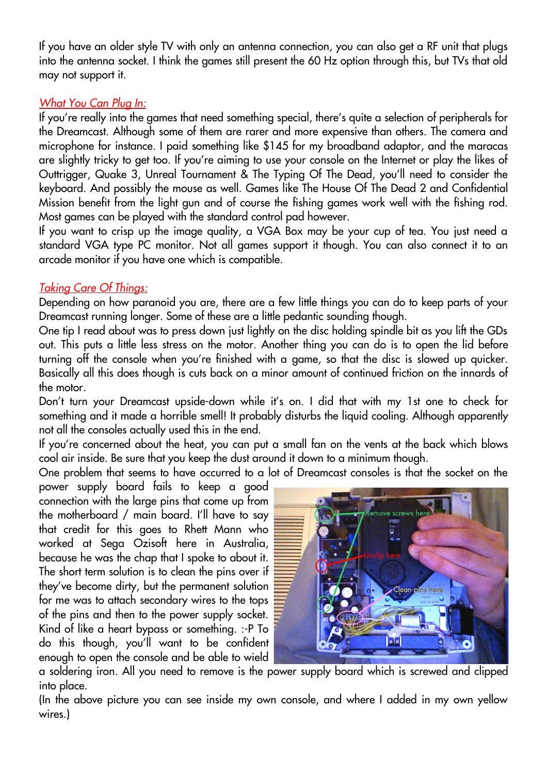If you have an older style TV with only an antenna connection, you can also get a RF unit that plugs into the antenna socket. I think the games still present the 60 Hz option through this, but TVs that old may not support it.

## *What You Can Plug In:*

If you're really into the games that need something special, there's quite a selection of peripherals for the Dreamcast. Although some of them are rarer and more expensive than others. The camera and microphone for instance. I paid something like \$145 for my broadband adaptor, and the maracas are slightly tricky to get too. If you're aiming to use your console on the Internet or play the likes of Outtrigger, Quake 3, Unreal Tournament & The Typing Of The Dead, you'll need to consider the keyboard. And possibly the mouse as well. Games like The House Of The Dead 2 and Confidential Mission benefit from the light gun and of course the fishing games work well with the fishing rod. Most games can be played with the standard control pad however.

If you want to crisp up the image quality, a VGA Box may be your cup of tea. You just need a standard VGA type PC monitor. Not all games support it though. You can also connect it to an arcade monitor if you have one which is compatible.

# *Taking Care Of Things:*

Depending on how paranoid you are, there are a few little things you can do to keep parts of your Dreamcast running longer. Some of these are a little pedantic sounding though.

One tip I read about was to press down just lightly on the disc holding spindle bit as you lift the GDs out. This puts a little less stress on the motor. Another thing you can do is to open the lid before turning off the console when you're finished with a game, so that the disc is slowed up quicker. Basically all this does though is cuts back on a minor amount of continued friction on the innards of the motor.

Don't turn your Dreamcast upside-down while it's on. I did that with my 1st one to check for something and it made a horrible smell! It probably disturbs the liquid cooling. Although apparently not all the consoles actually used this in the end.

If you're concerned about the heat, you can put a small fan on the vents at the back which blows cool air inside. Be sure that you keep the dust around it down to a minimum though.

One problem that seems to have occurred to a lot of Dreamcast consoles is that the socket on the

power supply board fails to keep a good connection with the large pins that come up from the motherboard / main board. I'll have to say that credit for this goes to Rhett Mann who worked at Sega Ozisoft here in Australia, because he was the chap that I spoke to about it. The short term solution is to clean the pins over if they've become dirty, but the permanent solution for me was to attach secondary wires to the tops of the pins and then to the power supply socket. Kind of like a heart bypass or something. :-P To do this though, you'll want to be confident enough to open the console and be able to wield



a soldering iron. All you need to remove is the power supply board which is screwed and clipped into place.

(In the above picture you can see inside my own console, and where I added in my own yellow wires.)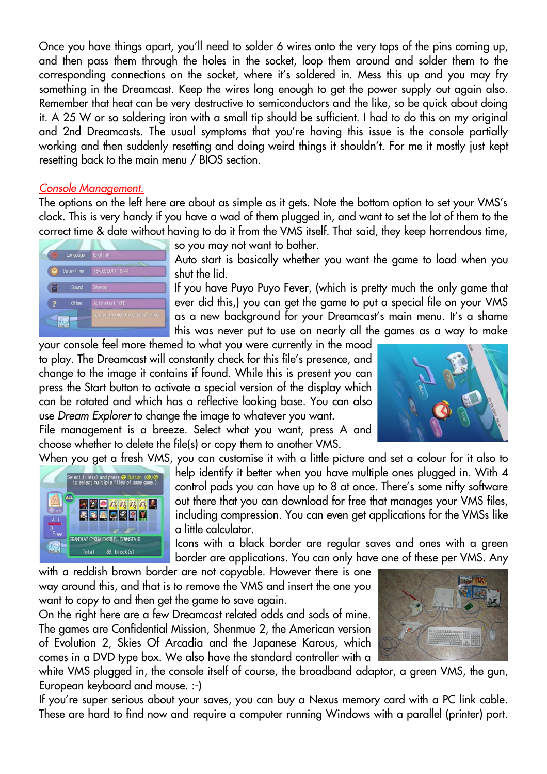Once you have things apart, you'll need to solder 6 wires onto the very tops of the pins coming up, and then pass them through the holes in the socket, loop them around and solder them to the corresponding connections on the socket, where it's soldered in. Mess this up and you may fry something in the Dreamcast. Keep the wires long enough to get the power supply out again also. Remember that heat can be very destructive to semiconductors and the like, so be quick about doing it. A 25 W or so soldering iron with a small tip should be sufficient. I had to do this on my original and 2nd Dreamcasts. The usual symptoms that you're having this issue is the console partially working and then suddenly resetting and doing weird things it shouldn't. For me it mostly just kept resetting back to the main menu / BIOS section.

#### *Console Management.*

The options on the left here are about as simple as it gets. Note the bottom option to set your VMS's clock. This is very handy if you have a wad of them plugged in, and want to set the lot of them to the correct time & date without having to do it from the VMS itself. That said, they keep horrendous time,



so you may not want to bother.

Auto start is basically whether you want the game to load when you shut the lid.

If you have Puyo Puyo Fever, (which is pretty much the only game that ever did this,) you can get the game to put a special file on your VMS as a new background for your Dreamcast's main menu. It's a shame this was never put to use on nearly all the games as a way to make

your console feel more themed to what you were currently in the mood to play. The Dreamcast will constantly check for this file's presence, and change to the image it contains if found. While this is present you can press the Start button to activate a special version of the display which can be rotated and which has a reflective looking base. You can also use *Dream Explorer* to change the image to whatever you want.

File management is a breeze. Select what you want, press A and choose whether to delete the file(s) or copy them to another VMS.

When you get a fresh VMS, you can customise it with a little picture and set a colour for it also to



help identify it better when you have multiple ones plugged in. With 4 control pads you can have up to 8 at once. There's some nifty software out there that you can download for free that manages your VMS files, including compression. You can even get applications for the VMSs like a little calculator.

Icons with a black border are regular saves and ones with a green border are applications. You can only have one of these per VMS. Any

with a reddish brown border are not copyable. However there is one way around this, and that is to remove the VMS and insert the one you want to copy to and then get the game to save again.

On the right here are a few Dreamcast related odds and sods of mine. The games are Confidential Mission, Shenmue 2, the American version of Evolution 2, Skies Of Arcadia and the Japanese Karous, which comes in a DVD type box. We also have the standard controller with a

white VMS plugged in, the console itself of course, the broadband adaptor, a green VMS, the gun, European keyboard and mouse. :-)

If you're super serious about your saves, you can buy a Nexus memory card with a PC link cable. These are hard to find now and require a computer running Windows with a parallel (printer) port.